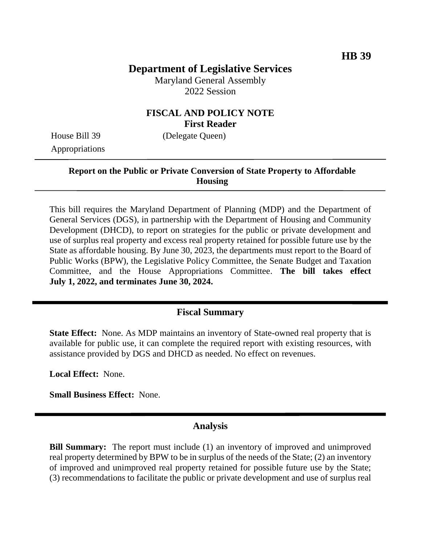# **Department of Legislative Services**

Maryland General Assembly 2022 Session

# **FISCAL AND POLICY NOTE First Reader**

Appropriations

House Bill 39 (Delegate Queen)

#### **Report on the Public or Private Conversion of State Property to Affordable Housing**

This bill requires the Maryland Department of Planning (MDP) and the Department of General Services (DGS), in partnership with the Department of Housing and Community Development (DHCD), to report on strategies for the public or private development and use of surplus real property and excess real property retained for possible future use by the State as affordable housing. By June 30, 2023, the departments must report to the Board of Public Works (BPW), the Legislative Policy Committee, the Senate Budget and Taxation Committee, and the House Appropriations Committee. **The bill takes effect July 1, 2022, and terminates June 30, 2024.**

# **Fiscal Summary**

**State Effect:** None. As MDP maintains an inventory of State-owned real property that is available for public use, it can complete the required report with existing resources, with assistance provided by DGS and DHCD as needed. No effect on revenues.

**Local Effect:** None.

**Small Business Effect:** None.

#### **Analysis**

**Bill Summary:** The report must include (1) an inventory of improved and unimproved real property determined by BPW to be in surplus of the needs of the State; (2) an inventory of improved and unimproved real property retained for possible future use by the State; (3) recommendations to facilitate the public or private development and use of surplus real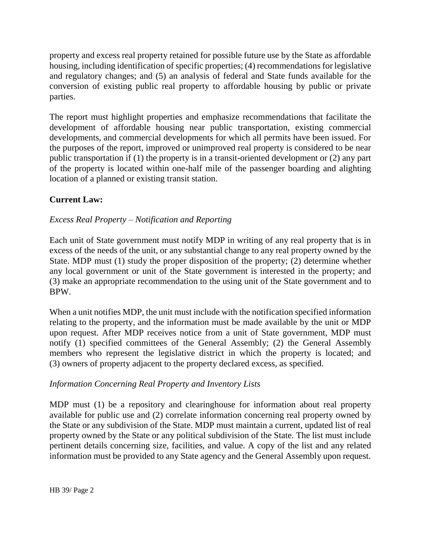property and excess real property retained for possible future use by the State as affordable housing, including identification of specific properties; (4) recommendations for legislative and regulatory changes; and (5) an analysis of federal and State funds available for the conversion of existing public real property to affordable housing by public or private parties.

The report must highlight properties and emphasize recommendations that facilitate the development of affordable housing near public transportation, existing commercial developments, and commercial developments for which all permits have been issued. For the purposes of the report, improved or unimproved real property is considered to be near public transportation if (1) the property is in a transit-oriented development or (2) any part of the property is located within one-half mile of the passenger boarding and alighting location of a planned or existing transit station.

# **Current Law:**

## *Excess Real Property – Notification and Reporting*

Each unit of State government must notify MDP in writing of any real property that is in excess of the needs of the unit, or any substantial change to any real property owned by the State. MDP must (1) study the proper disposition of the property; (2) determine whether any local government or unit of the State government is interested in the property; and (3) make an appropriate recommendation to the using unit of the State government and to BPW.

When a unit notifies MDP, the unit must include with the notification specified information relating to the property, and the information must be made available by the unit or MDP upon request. After MDP receives notice from a unit of State government, MDP must notify (1) specified committees of the General Assembly; (2) the General Assembly members who represent the legislative district in which the property is located; and (3) owners of property adjacent to the property declared excess, as specified.

#### *Information Concerning Real Property and Inventory Lists*

MDP must (1) be a repository and clearinghouse for information about real property available for public use and (2) correlate information concerning real property owned by the State or any subdivision of the State. MDP must maintain a current, updated list of real property owned by the State or any political subdivision of the State. The list must include pertinent details concerning size, facilities, and value. A copy of the list and any related information must be provided to any State agency and the General Assembly upon request.